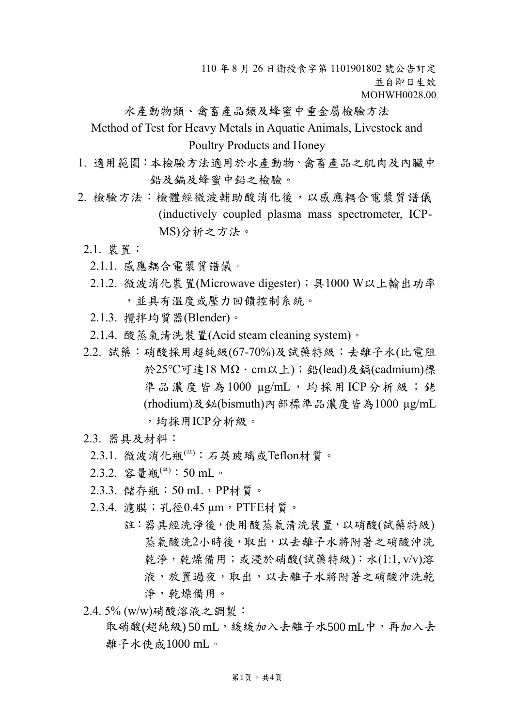110 年 8 月 26 日衛授食字第 1101901802 號公告訂定 並自即日生效 MOHWH0028.00

水產動物類、禽畜產品類及蜂蜜中重金屬檢驗方法 Method of Test for Heavy Metals in Aquatic Animals, Livestock and Poultry Products and Honey

- 1. 適用範圍:本檢驗方法適用於水產動物、禽畜產品之肌肉及內臟中 鉛及鎘及蜂蜜中鉛之檢驗。
- 2. 檢驗方法:檢體經微波輔助酸消化後,以感應耦合電漿質譜儀 (inductively coupled plasma mass spectrometer, ICP-MS)分析之方法。
	- 2.1. 裝置:
		- 2.1.1. 感應耦合電漿質譜儀。
		- 2.1.2. 微波消化裝置(Microwave digester):具1000 W以上輸出功率 ,並具有溫度或壓力回饋控制系統。
		- 2.1.3. 攪拌均質器(Blender)。
		- 2.1.4. 酸蒸氣清洗裝置(Acid steam cleaning system)。
	- 2.2. 試藥:硝酸採用超純級(67-70%)及試藥特級;去離子水(比電阻 於25℃可達18 MΩ · cm以上); 鉛(lead)及鎘(cadmium)標 準品濃度皆為1000 µg/mL,均採用ICP分析級;銠 (rhodium)及鉍(bismuth)內部標準品濃度皆為1000 µg/mL
		- ,均採用ICP分析級。

## 2.3. 器具及材料:

- $2.3.1.$  微波消化瓶 $(ii):$  石英玻璃或Teflon材質。
- 2.3.2. 容量瓶<sup>(註)</sup>:50 mL。
- 2.3.3. 儲存瓶: 50 mL, PP材質。
- 2.3.4. 濾膜:孔徑0.45 μm,PTFE材質。
	- 註:器具經洗淨後,使用酸蒸氣清洗裝置,以硝酸(試藥特級) 蒸氣酸洗2小時後,取出,以去離子水將附著之硝酸沖洗 乾淨,乾燥備用;或浸於硝酸(試藥特級):水(1:1, v/v)溶 液,放置過夜,取出,以去離子水將附著之硝酸沖洗乾 淨,乾燥備用。
- 2.4. 5% (w/w)硝酸溶液之調製:

取硝酸(超純級) 50 mL, 緩緩加入去離子水500 mL中, 再加入去 離子水使成1000 mL。

## 第1頁,共4頁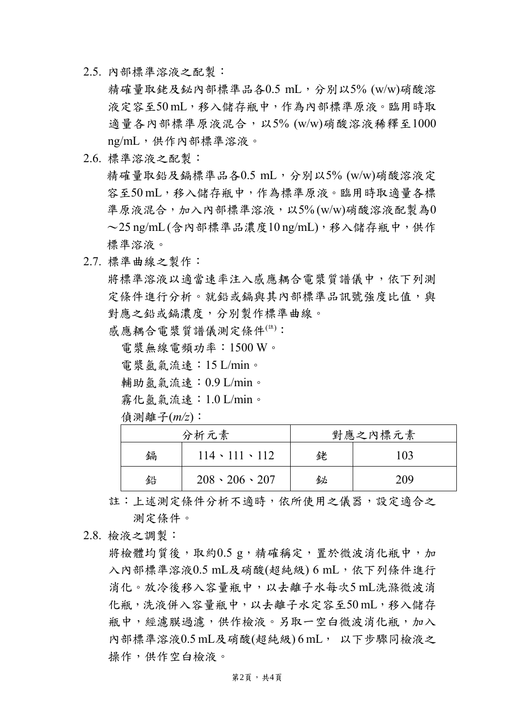2.5. 內部標準溶液之配製:

精確量取銠及鉍內部標準品各0.5 mL,分別以5% (w/w)硝酸溶 液定容至50 mL,移入儲存瓶中,作為內部標準原液。臨用時取 適量各內部標準原液混合,以5% (w/w)硝酸溶液稀釋至1000 ng/mL,供作內部標準溶液。

2.6. 標準溶液之配製:

精確量取鉛及鎘標準品各0.5 mL,分別以5% (w/w)硝酸溶液定 容至50 mL,移入儲存瓶中,作為標準原液。臨用時取適量各標 準原液混合,加入內部標準溶液,以5% (w/w)硝酸溶液配製為0  $\sim$  25 ng/mL(含內部標準品濃度10 ng/mL),移入儲存瓶中,供作 標準溶液。

2.7. 標準曲線之製作:

將標準溶液以適當速率注入感應耦合電漿質譜儀中,依下列測 定條件進行分析。就鉛或鎘與其內部標準品訊號強度比值,與 對應之鉛或鎘濃度,分別製作標準曲線。

感應耦合電漿質譜儀測定條件(註):

電漿無線電頻功率:1500 W。

電漿氬氣流速:15 L/min。

輔助氬氣流速:0.9 L/min。

霧化氬氣流速:1.0 L/min。

偵測離子(*m/z*):

| 分析元素 |                           | 對應之內標元素 |     |  |
|------|---------------------------|---------|-----|--|
| 鎘    | $114 \cdot 111 \cdot 112$ | 銠       | 103 |  |
| 鉛    | $208 \cdot 206 \cdot 207$ | 鉍       | 209 |  |

註:上述測定條件分析不適時,依所使用之儀器,設定適合之 測定條件。

2.8. 檢液之調製:

將檢體均質後, 取約0.5 g, 精確稱定, 置於微波消化瓶中, 加 入內部標準溶液0.5 mL及硝酸(超純級) 6 mL, 依下列條件進行 消化。放冷後移入容量瓶中,以去離子水每次5 mL洗滌微波消 化瓶,洗液併入容量瓶中,以去離子水定容至50 mL,移入儲存 瓶中,經濾膜過濾,供作檢液。另取一空白微波消化瓶,加入 內部標準溶液0.5 mL及硝酸(超純級) 6 mL, 以下步驟同檢液之 操作,供作空白檢液。

第2頁,共4頁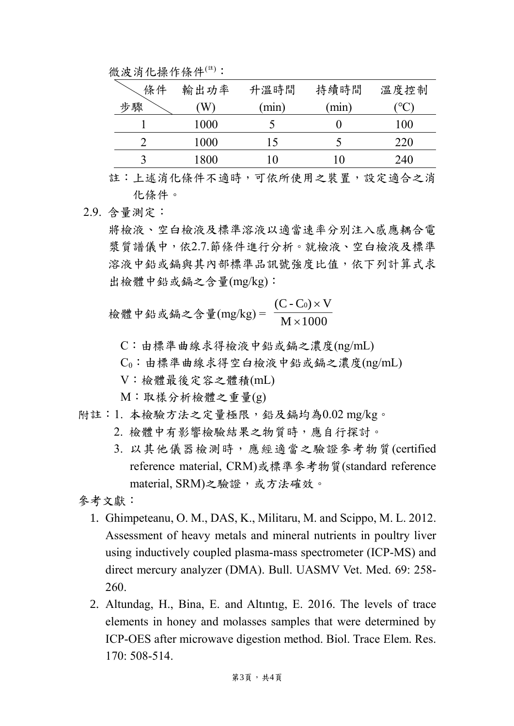微波消化操作條件(註):

| 條件 | 輸出功率 | 升溫時間  | 持續時間  | 溫度控制 |
|----|------|-------|-------|------|
| 步驟 | W    | (min) | (min) |      |
|    | 1000 |       |       | 100  |
|    | 1000 |       |       | 220  |
|    | 1800 |       | l ()  | 240  |

註:上述消化條件不適時,可依所使用之裝置,設定適合之消 化條件。

2.9. 含量測定:

將檢液、空白檢液及標準溶液以適當速率分別注入感應耦合電 漿質譜儀中,依2.7.節條件進行分析。就檢液、空白檢液及標準 溶液中鉛或鎘與其內部標準品訊號強度比值,依下列計算式求 出檢體中鉛或鎘之含量(mg/kg):

檢體中鉛或編之含量(mg/kg) =  $\frac{2}{M \times 1000}$ (C - Co)  $\times$  V × ×

C:由標準曲線求得檢液中鉛或鎘之濃度(ng/mL)

C0:由標準曲線求得空白檢液中鉛或鎘之濃度(ng/mL)

V:檢體最後定容之體積(mL)

M:取樣分析檢體之重量(g)

- 附註:1. 本檢驗方法之定量極限,鉛及鎘均為0.02 mg/kg。
	- 2. 檢體中有影響檢驗結果之物質時,應自行探討。
	- 3. 以其他儀器檢測時,應經適當之驗證參考物質(certified reference material, CRM)或標準參考物質(standard reference material, SRM)之驗證,或方法確效。
- 參考文獻:
	- 1. Ghimpeteanu, O. M., DAS, K., Militaru, M. and Scippo, M. L. 2012. Assessment of heavy metals and mineral nutrients in poultry liver using inductively coupled plasma-mass spectrometer (ICP-MS) and direct mercury analyzer (DMA). Bull. UASMV Vet. Med. 69: 258- 260.
	- 2. Altundag, H., Bina, E. and Altıntıg, E. 2016. The levels of trace elements in honey and molasses samples that were determined by ICP-OES after microwave digestion method. Biol. Trace Elem. Res. 170: 508-514.